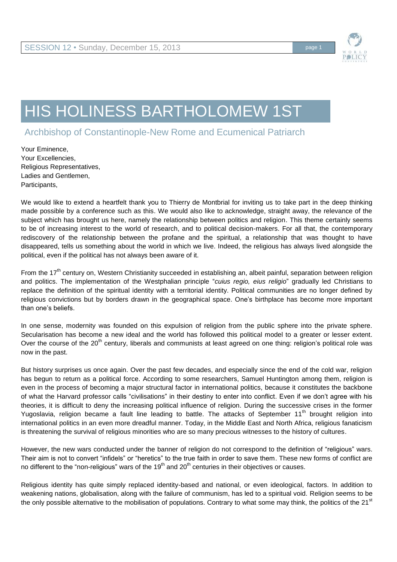

## HIS HOLINESS BARTHOLOMEW 1ST

Archbishop of Constantinople-New Rome and Ecumenical Patriarch

Your Eminence, Your Excellencies, Religious Representatives, Ladies and Gentlemen, Participants,

We would like to extend a heartfelt thank you to Thierry de Montbrial for inviting us to take part in the deep thinking made possible by a conference such as this. We would also like to acknowledge, straight away, the relevance of the subject which has brought us here, namely the relationship between politics and religion. This theme certainly seems to be of increasing interest to the world of research, and to political decision-makers. For all that, the contemporary rediscovery of the relationship between the profane and the spiritual, a relationship that was thought to have disappeared, tells us something about the world in which we live. Indeed, the religious has always lived alongside the political, even if the political has not always been aware of it.

From the 17<sup>th</sup> century on, Western Christianity succeeded in establishing an, albeit painful, separation between religion and politics. The implementation of the Westphalian principle "*cuius regio, eius religio*" gradually led Christians to replace the definition of the spiritual identity with a territorial identity. Political communities are no longer defined by religious convictions but by borders drawn in the geographical space. One's birthplace has become more important than one's beliefs.

In one sense, modernity was founded on this expulsion of religion from the public sphere into the private sphere. Secularisation has become a new ideal and the world has followed this political model to a greater or lesser extent. Over the course of the 20<sup>th</sup> century, liberals and communists at least agreed on one thing: religion's political role was now in the past.

But history surprises us once again. Over the past few decades, and especially since the end of the cold war, religion has begun to return as a political force. According to some researchers, Samuel Huntington among them, religion is even in the process of becoming a major structural factor in international politics, because it constitutes the backbone of what the Harvard professor calls "civilisations" in their destiny to enter into conflict. Even if we don't agree with his theories, it is difficult to deny the increasing political influence of religion. During the successive crises in the former Yugoslavia, religion became a fault line leading to battle. The attacks of September 11<sup>th</sup> brought religion into international politics in an even more dreadful manner. Today, in the Middle East and North Africa, religious fanaticism is threatening the survival of religious minorities who are so many precious witnesses to the history of cultures.

However, the new wars conducted under the banner of religion do not correspond to the definition of "religious" wars. Their aim is not to convert "infidels" or "heretics" to the true faith in order to save them. These new forms of conflict are no different to the "non-religious" wars of the  $19<sup>th</sup>$  and  $20<sup>th</sup>$  centuries in their objectives or causes.

Religious identity has quite simply replaced identity-based and national, or even ideological, factors. In addition to weakening nations, globalisation, along with the failure of communism, has led to a spiritual void. Religion seems to be the only possible alternative to the mobilisation of populations. Contrary to what some may think, the politics of the  $21^{st}$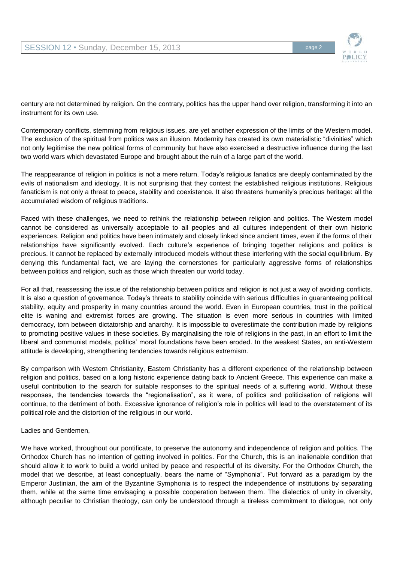

century are not determined by religion. On the contrary, politics has the upper hand over religion, transforming it into an instrument for its own use.

Contemporary conflicts, stemming from religious issues, are yet another expression of the limits of the Western model. The exclusion of the spiritual from politics was an illusion. Modernity has created its own materialistic "divinities" which not only legitimise the new political forms of community but have also exercised a destructive influence during the last two world wars which devastated Europe and brought about the ruin of a large part of the world.

The reappearance of religion in politics is not a mere return. Today's religious fanatics are deeply contaminated by the evils of nationalism and ideology. It is not surprising that they contest the established religious institutions. Religious fanaticism is not only a threat to peace, stability and coexistence. It also threatens humanity's precious heritage: all the accumulated wisdom of religious traditions.

Faced with these challenges, we need to rethink the relationship between religion and politics. The Western model cannot be considered as universally acceptable to all peoples and all cultures independent of their own historic experiences. Religion and politics have been intimately and closely linked since ancient times, even if the forms of their relationships have significantly evolved. Each culture's experience of bringing together religions and politics is precious. It cannot be replaced by externally introduced models without these interfering with the social equilibrium. By denying this fundamental fact, we are laying the cornerstones for particularly aggressive forms of relationships between politics and religion, such as those which threaten our world today.

For all that, reassessing the issue of the relationship between politics and religion is not just a way of avoiding conflicts. It is also a question of governance. Today's threats to stability coincide with serious difficulties in guaranteeing political stability, equity and prosperity in many countries around the world. Even in European countries, trust in the political elite is waning and extremist forces are growing. The situation is even more serious in countries with limited democracy, torn between dictatorship and anarchy. It is impossible to overestimate the contribution made by religions to promoting positive values in these societies. By marginalising the role of religions in the past, in an effort to limit the liberal and communist models, politics' moral foundations have been eroded. In the weakest States, an anti-Western attitude is developing, strengthening tendencies towards religious extremism.

By comparison with Western Christianity, Eastern Christianity has a different experience of the relationship between religion and politics, based on a long historic experience dating back to Ancient Greece. This experience can make a useful contribution to the search for suitable responses to the spiritual needs of a suffering world. Without these responses, the tendencies towards the "regionalisation", as it were, of politics and politicisation of religions will continue, to the detriment of both. Excessive ignorance of religion's role in politics will lead to the overstatement of its political role and the distortion of the religious in our world.

Ladies and Gentlemen,

We have worked, throughout our pontificate, to preserve the autonomy and independence of religion and politics. The Orthodox Church has no intention of getting involved in politics. For the Church, this is an inalienable condition that should allow it to work to build a world united by peace and respectful of its diversity. For the Orthodox Church, the model that we describe, at least conceptually, bears the name of "Symphonia". Put forward as a paradigm by the Emperor Justinian, the aim of the Byzantine Symphonia is to respect the independence of institutions by separating them, while at the same time envisaging a possible cooperation between them. The dialectics of unity in diversity, although peculiar to Christian theology, can only be understood through a tireless commitment to dialogue, not only